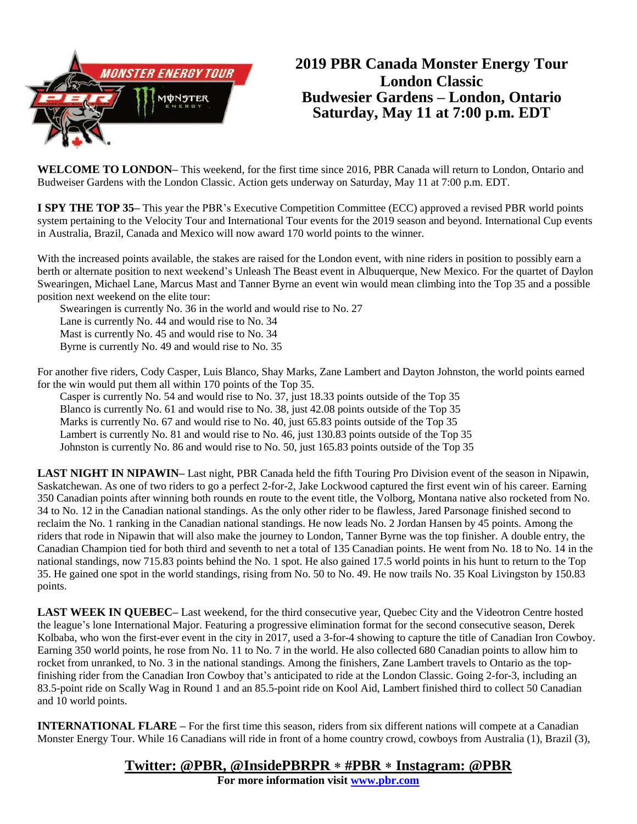

# **2019 PBR Canada Monster Energy Tour London Classic Budwesier Gardens – London, Ontario Saturday, May 11 at 7:00 p.m. EDT**

**WELCOME TO LONDON–** This weekend, for the first time since 2016, PBR Canada will return to London, Ontario and Budweiser Gardens with the London Classic. Action gets underway on Saturday, May 11 at 7:00 p.m. EDT.

**I SPY THE TOP 35–** This year the PBR's Executive Competition Committee (ECC) approved a revised PBR world points system pertaining to the Velocity Tour and International Tour events for the 2019 season and beyond. International Cup events in Australia, Brazil, Canada and Mexico will now award 170 world points to the winner.

With the increased points available, the stakes are raised for the London event, with nine riders in position to possibly earn a berth or alternate position to next weekend's Unleash The Beast event in Albuquerque, New Mexico. For the quartet of Daylon Swearingen, Michael Lane, Marcus Mast and Tanner Byrne an event win would mean climbing into the Top 35 and a possible position next weekend on the elite tour:

Swearingen is currently No. 36 in the world and would rise to No. 27

Lane is currently No. 44 and would rise to No. 34

Mast is currently No. 45 and would rise to No. 34

Byrne is currently No. 49 and would rise to No. 35

For another five riders, Cody Casper, Luis Blanco, Shay Marks, Zane Lambert and Dayton Johnston, the world points earned for the win would put them all within 170 points of the Top 35.

Casper is currently No. 54 and would rise to No. 37, just 18.33 points outside of the Top 35 Blanco is currently No. 61 and would rise to No. 38, just 42.08 points outside of the Top 35 Marks is currently No. 67 and would rise to No. 40, just 65.83 points outside of the Top 35 Lambert is currently No. 81 and would rise to No. 46, just 130.83 points outside of the Top 35 Johnston is currently No. 86 and would rise to No. 50, just 165.83 points outside of the Top 35

**LAST NIGHT IN NIPAWIN–** Last night, PBR Canada held the fifth Touring Pro Division event of the season in Nipawin, Saskatchewan. As one of two riders to go a perfect 2-for-2, Jake Lockwood captured the first event win of his career. Earning 350 Canadian points after winning both rounds en route to the event title, the Volborg, Montana native also rocketed from No. 34 to No. 12 in the Canadian national standings. As the only other rider to be flawless, Jared Parsonage finished second to reclaim the No. 1 ranking in the Canadian national standings. He now leads No. 2 Jordan Hansen by 45 points. Among the riders that rode in Nipawin that will also make the journey to London, Tanner Byrne was the top finisher. A double entry, the Canadian Champion tied for both third and seventh to net a total of 135 Canadian points. He went from No. 18 to No. 14 in the national standings, now 715.83 points behind the No. 1 spot. He also gained 17.5 world points in his hunt to return to the Top 35. He gained one spot in the world standings, rising from No. 50 to No. 49. He now trails No. 35 Koal Livingston by 150.83 points.

**LAST WEEK IN QUEBEC–** Last weekend, for the third consecutive year, Quebec City and the Videotron Centre hosted the league's lone International Major. Featuring a progressive elimination format for the second consecutive season, Derek Kolbaba, who won the first-ever event in the city in 2017, used a 3-for-4 showing to capture the title of Canadian Iron Cowboy. Earning 350 world points, he rose from No. 11 to No. 7 in the world. He also collected 680 Canadian points to allow him to rocket from unranked, to No. 3 in the national standings. Among the finishers, Zane Lambert travels to Ontario as the topfinishing rider from the Canadian Iron Cowboy that's anticipated to ride at the London Classic. Going 2-for-3, including an 83.5-point ride on Scally Wag in Round 1 and an 85.5-point ride on Kool Aid, Lambert finished third to collect 50 Canadian and 10 world points.

**INTERNATIONAL FLARE –** For the first time this season, riders from six different nations will compete at a Canadian Monster Energy Tour. While 16 Canadians will ride in front of a home country crowd, cowboys from Australia (1), Brazil (3),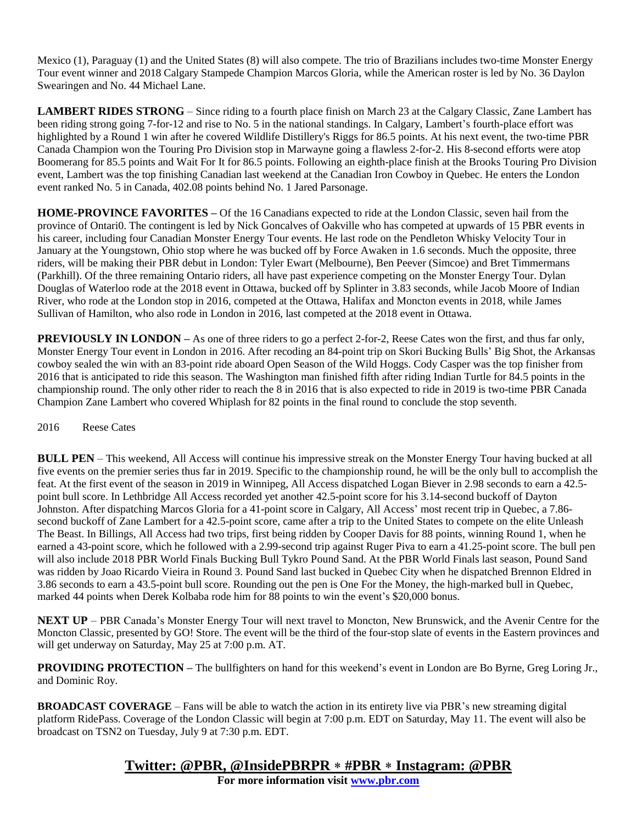Mexico (1), Paraguay (1) and the United States (8) will also compete. The trio of Brazilians includes two-time Monster Energy Tour event winner and 2018 Calgary Stampede Champion Marcos Gloria, while the American roster is led by No. 36 Daylon Swearingen and No. 44 Michael Lane.

**LAMBERT RIDES STRONG** – Since riding to a fourth place finish on March 23 at the Calgary Classic, Zane Lambert has been riding strong going 7-for-12 and rise to No. 5 in the national standings. In Calgary, Lambert's fourth-place effort was highlighted by a Round 1 win after he covered Wildlife Distillery's Riggs for 86.5 points. At his next event, the two-time PBR Canada Champion won the Touring Pro Division stop in Marwayne going a flawless 2-for-2. His 8-second efforts were atop Boomerang for 85.5 points and Wait For It for 86.5 points. Following an eighth-place finish at the Brooks Touring Pro Division event, Lambert was the top finishing Canadian last weekend at the Canadian Iron Cowboy in Quebec. He enters the London event ranked No. 5 in Canada, 402.08 points behind No. 1 Jared Parsonage.

**HOME-PROVINCE FAVORITES –** Of the 16 Canadians expected to ride at the London Classic, seven hail from the province of Ontari0. The contingent is led by Nick Goncalves of Oakville who has competed at upwards of 15 PBR events in his career, including four Canadian Monster Energy Tour events. He last rode on the Pendleton Whisky Velocity Tour in January at the Youngstown, Ohio stop where he was bucked off by Force Awaken in 1.6 seconds. Much the opposite, three riders, will be making their PBR debut in London: Tyler Ewart (Melbourne), Ben Peever (Simcoe) and Bret Timmermans (Parkhill). Of the three remaining Ontario riders, all have past experience competing on the Monster Energy Tour. Dylan Douglas of Waterloo rode at the 2018 event in Ottawa, bucked off by Splinter in 3.83 seconds, while Jacob Moore of Indian River, who rode at the London stop in 2016, competed at the Ottawa, Halifax and Moncton events in 2018, while James Sullivan of Hamilton, who also rode in London in 2016, last competed at the 2018 event in Ottawa.

**PREVIOUSLY IN LONDON** – As one of three riders to go a perfect 2-for-2, Reese Cates won the first, and thus far only, Monster Energy Tour event in London in 2016. After recoding an 84-point trip on Skori Bucking Bulls' Big Shot, the Arkansas cowboy sealed the win with an 83-point ride aboard Open Season of the Wild Hoggs. Cody Casper was the top finisher from 2016 that is anticipated to ride this season. The Washington man finished fifth after riding Indian Turtle for 84.5 points in the championship round. The only other rider to reach the 8 in 2016 that is also expected to ride in 2019 is two-time PBR Canada Champion Zane Lambert who covered Whiplash for 82 points in the final round to conclude the stop seventh.

#### 2016 Reese Cates

**BULL PEN** – This weekend, All Access will continue his impressive streak on the Monster Energy Tour having bucked at all five events on the premier series thus far in 2019. Specific to the championship round, he will be the only bull to accomplish the feat. At the first event of the season in 2019 in Winnipeg, All Access dispatched Logan Biever in 2.98 seconds to earn a 42.5 point bull score. In Lethbridge All Access recorded yet another 42.5-point score for his 3.14-second buckoff of Dayton Johnston. After dispatching Marcos Gloria for a 41-point score in Calgary, All Access' most recent trip in Quebec, a 7.86 second buckoff of Zane Lambert for a 42.5-point score, came after a trip to the United States to compete on the elite Unleash The Beast. In Billings, All Access had two trips, first being ridden by Cooper Davis for 88 points, winning Round 1, when he earned a 43-point score, which he followed with a 2.99-second trip against Ruger Piva to earn a 41.25-point score. The bull pen will also include 2018 PBR World Finals Bucking Bull Tykro Pound Sand. At the PBR World Finals last season, Pound Sand was ridden by Joao Ricardo Vieira in Round 3. Pound Sand last bucked in Quebec City when he dispatched Brennon Eldred in 3.86 seconds to earn a 43.5-point bull score. Rounding out the pen is One For the Money, the high-marked bull in Quebec, marked 44 points when Derek Kolbaba rode him for 88 points to win the event's \$20,000 bonus.

**NEXT UP** – PBR Canada's Monster Energy Tour will next travel to Moncton, New Brunswick, and the Avenir Centre for the Moncton Classic, presented by GO! Store. The event will be the third of the four-stop slate of events in the Eastern provinces and will get underway on Saturday, May 25 at 7:00 p.m. AT.

**PROVIDING PROTECTION –** The bullfighters on hand for this weekend's event in London are Bo Byrne, Greg Loring Jr., and Dominic Roy.

**BROADCAST COVERAGE** – Fans will be able to watch the action in its entirety live via PBR's new streaming digital platform RidePass. Coverage of the London Classic will begin at 7:00 p.m. EDT on Saturday, May 11. The event will also be broadcast on TSN2 on Tuesday, July 9 at 7:30 p.m. EDT.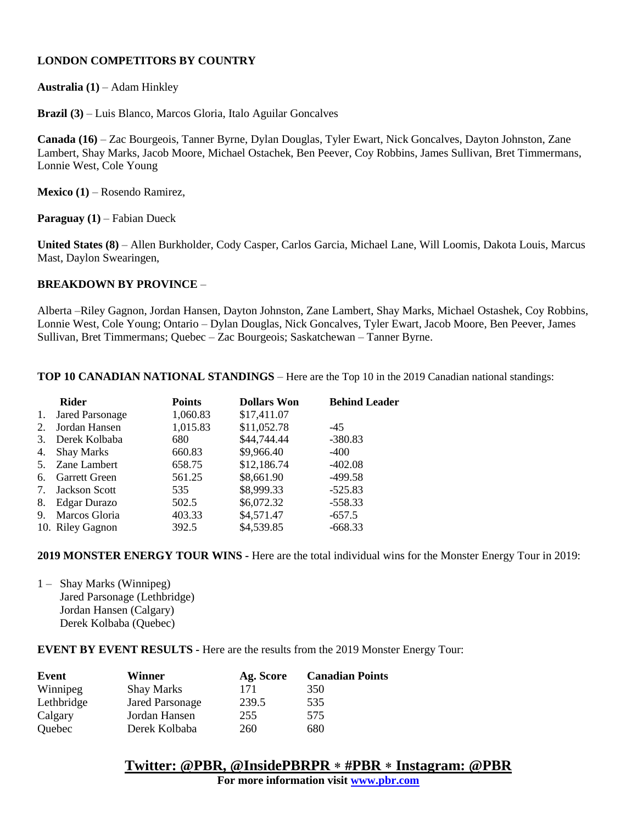### **LONDON COMPETITORS BY COUNTRY**

**Australia (1)** – Adam Hinkley

**Brazil (3)** – Luis Blanco, Marcos Gloria, Italo Aguilar Goncalves

**Canada (16)** – Zac Bourgeois, Tanner Byrne, Dylan Douglas, Tyler Ewart, Nick Goncalves, Dayton Johnston, Zane Lambert, Shay Marks, Jacob Moore, Michael Ostachek, Ben Peever, Coy Robbins, James Sullivan, Bret Timmermans, Lonnie West, Cole Young

**Mexico (1)** – Rosendo Ramirez,

**Paraguay (1)** – Fabian Dueck

**United States (8)** – Allen Burkholder, Cody Casper, Carlos Garcia, Michael Lane, Will Loomis, Dakota Louis, Marcus Mast, Daylon Swearingen,

#### **BREAKDOWN BY PROVINCE** –

Alberta –Riley Gagnon, Jordan Hansen, Dayton Johnston, Zane Lambert, Shay Marks, Michael Ostashek, Coy Robbins, Lonnie West, Cole Young; Ontario – Dylan Douglas, Nick Goncalves, Tyler Ewart, Jacob Moore, Ben Peever, James Sullivan, Bret Timmermans; Quebec – Zac Bourgeois; Saskatchewan – Tanner Byrne.

**TOP 10 CANADIAN NATIONAL STANDINGS** – Here are the Top 10 in the 2019 Canadian national standings:

|    | <b>Rider</b>           | Points   | <b>Dollars Won</b> | <b>Behind Leader</b> |
|----|------------------------|----------|--------------------|----------------------|
| 1. | <b>Jared Parsonage</b> | 1,060.83 | \$17,411.07        |                      |
| 2. | Jordan Hansen          | 1,015.83 | \$11,052.78        | $-45$                |
| 3. | Derek Kolbaba          | 680      | \$44,744.44        | $-380.83$            |
| 4. | <b>Shay Marks</b>      | 660.83   | \$9,966.40         | $-400$               |
|    | 5. Zane Lambert        | 658.75   | \$12,186.74        | $-402.08$            |
| 6. | <b>Garrett Green</b>   | 561.25   | \$8,661.90         | $-499.58$            |
| 7. | <b>Jackson Scott</b>   | 535      | \$8,999.33         | $-525.83$            |
| 8. | Edgar Durazo           | 502.5    | \$6,072.32         | $-558.33$            |
| 9. | Marcos Gloria          | 403.33   | \$4,571.47         | $-657.5$             |
|    | 10. Riley Gagnon       | 392.5    | \$4,539.85         | $-668.33$            |

**2019 MONSTER ENERGY TOUR WINS -** Here are the total individual wins for the Monster Energy Tour in 2019:

1 – Shay Marks (Winnipeg) Jared Parsonage (Lethbridge) Jordan Hansen (Calgary) Derek Kolbaba (Quebec)

**EVENT BY EVENT RESULTS -** Here are the results from the 2019 Monster Energy Tour:

| Event      | Winner                 | Ag. Score | <b>Canadian Points</b> |
|------------|------------------------|-----------|------------------------|
| Winnipeg   | <b>Shay Marks</b>      | 171       | 350                    |
| Lethbridge | <b>Jared Parsonage</b> | 239.5     | 535                    |
| Calgary    | Jordan Hansen          | 255       | 575                    |
| Quebec     | Derek Kolbaba          | 260       | 680                    |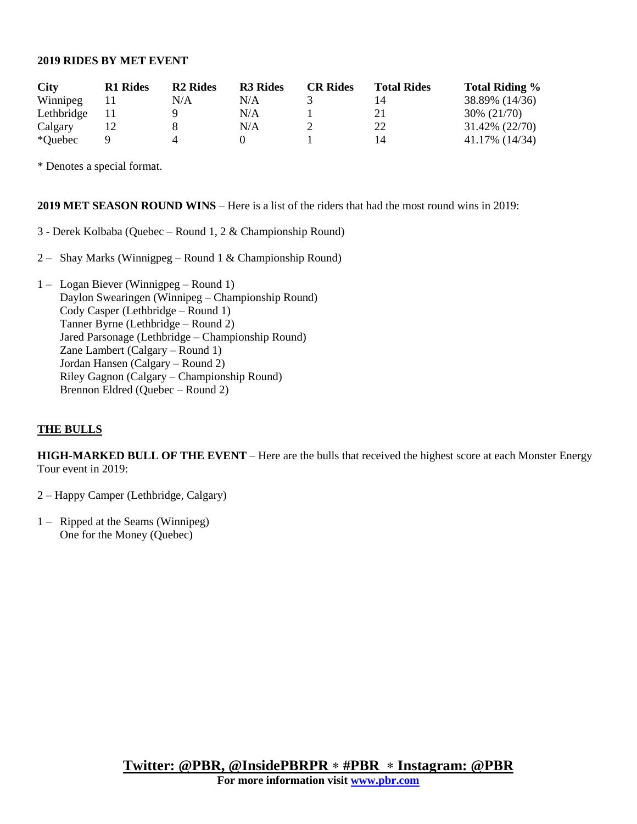#### **2019 RIDES BY MET EVENT**

| <b>City</b> | <b>R1</b> Rides | <b>R2</b> Rides | <b>R3</b> Rides | <b>CR Rides</b> | <b>Total Rides</b> | <b>Total Riding %</b> |
|-------------|-----------------|-----------------|-----------------|-----------------|--------------------|-----------------------|
| Winnipeg    |                 | N/A             | N/A             |                 | 14                 | 38.89% (14/36)        |
| Lethbridge  |                 |                 | N/A             |                 |                    | 30% (21/70)           |
| Calgary     |                 |                 | N/A             |                 | 22                 | 31.42% (22/70)        |
| *Quebec     |                 |                 |                 |                 | 14                 | 41.17% (14/34)        |

\* Denotes a special format.

#### **2019 MET SEASON ROUND WINS** – Here is a list of the riders that had the most round wins in 2019:

- 3 Derek Kolbaba (Quebec Round 1, 2 & Championship Round)
- 2 Shay Marks (Winnigpeg Round 1 & Championship Round)
- 1 Logan Biever (Winnigpeg Round 1) Daylon Swearingen (Winnipeg – Championship Round) Cody Casper (Lethbridge – Round 1) Tanner Byrne (Lethbridge – Round 2) Jared Parsonage (Lethbridge – Championship Round) Zane Lambert (Calgary – Round 1) Jordan Hansen (Calgary – Round 2) Riley Gagnon (Calgary – Championship Round) Brennon Eldred (Quebec – Round 2)

#### **THE BULLS**

**HIGH-MARKED BULL OF THE EVENT** – Here are the bulls that received the highest score at each Monster Energy Tour event in 2019:

2 – Happy Camper (Lethbridge, Calgary)

1 – Ripped at the Seams (Winnipeg) One for the Money (Quebec)